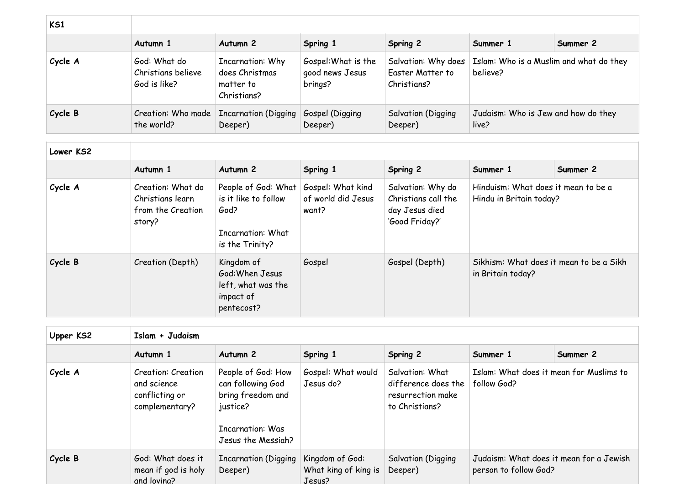| <b>KS1</b> |                                                    |                                                                |                                                   |                                                        |                                                     |          |
|------------|----------------------------------------------------|----------------------------------------------------------------|---------------------------------------------------|--------------------------------------------------------|-----------------------------------------------------|----------|
|            | Autumn 1                                           | Autumn 2                                                       | Spring 1                                          | Spring 2                                               | Summer 1                                            | Summer 2 |
| Cycle A    | God: What do<br>Christians believe<br>God is like? | Incarnation: Why<br>does Christmas<br>matter to<br>Christians? | Gospel: What is the<br>good news Jesus<br>brings? | Salvation: Why does<br>Easter Matter to<br>Christians? | Islam: Who is a Muslim and what do they<br>believe? |          |
| Cycle B    | the world?                                         | Creation: Who made   Incarnation (Digging<br>Deeper)           | Gospel (Digging<br>Deeper)                        | <b>Salvation (Digging</b><br>Deeper)                   | Judaism: Who is Jew and how do they<br>live?        |          |

| Lower KS2 |                                                                      |                                                                                                    |                                                  |                                                                              |                                                                |          |
|-----------|----------------------------------------------------------------------|----------------------------------------------------------------------------------------------------|--------------------------------------------------|------------------------------------------------------------------------------|----------------------------------------------------------------|----------|
|           | Autumn 1                                                             | Autumn <sub>2</sub>                                                                                | Spring 1                                         | Spring 2                                                                     | Summer 1                                                       | Summer 2 |
| Cycle A   | Creation: What do<br>Christians learn<br>from the Creation<br>story? | People of God: What<br>is it like to follow<br>God?<br><b>Incarnation: What</b><br>is the Trinity? | Gospel: What kind<br>of world did Jesus<br>want? | Salvation: Why do<br>Christians call the<br>day Jesus died<br>'Good Friday?' | Hinduism: What does it mean to be a<br>Hindu in Britain today? |          |
| Cycle B   | Creation (Depth)                                                     | Kingdom of<br>God: When Jesus<br>left, what was the<br>impact of<br>pentecost?                     | Gospel                                           | Gospel (Depth)                                                               | Sikhism: What does it mean to be a Sikh<br>in Britain today?   |          |

| Upper KS2 | Islam + Judaism                                                              |                                                                                                                           |                                                   |                                                                               |                                                                  |          |  |
|-----------|------------------------------------------------------------------------------|---------------------------------------------------------------------------------------------------------------------------|---------------------------------------------------|-------------------------------------------------------------------------------|------------------------------------------------------------------|----------|--|
|           | Autumn 1                                                                     | Autumn <sub>2</sub>                                                                                                       | Spring 1                                          | Spring 2                                                                      | Summer 1                                                         | Summer 2 |  |
| Cycle A   | <b>Creation: Creation</b><br>and science<br>conflicting or<br>complementary? | People of God: How<br>can following God<br>bring freedom and<br>justice?<br><b>Incarnation: Was</b><br>Jesus the Messiah? | Gospel: What would<br>Jesus do?                   | Salvation: What<br>difference does the<br>resurrection make<br>to Christians? | Islam: What does it mean for Muslims to<br>follow God?           |          |  |
| Cycle B   | God: What does it<br>mean if god is holy<br>and loving?                      | <b>Incarnation (Digging</b><br>Deeper)                                                                                    | Kingdom of God:<br>What king of king is<br>Jesus? | Salvation (Digging<br>Deeper)                                                 | Judaism: What does it mean for a Jewish<br>person to follow God? |          |  |